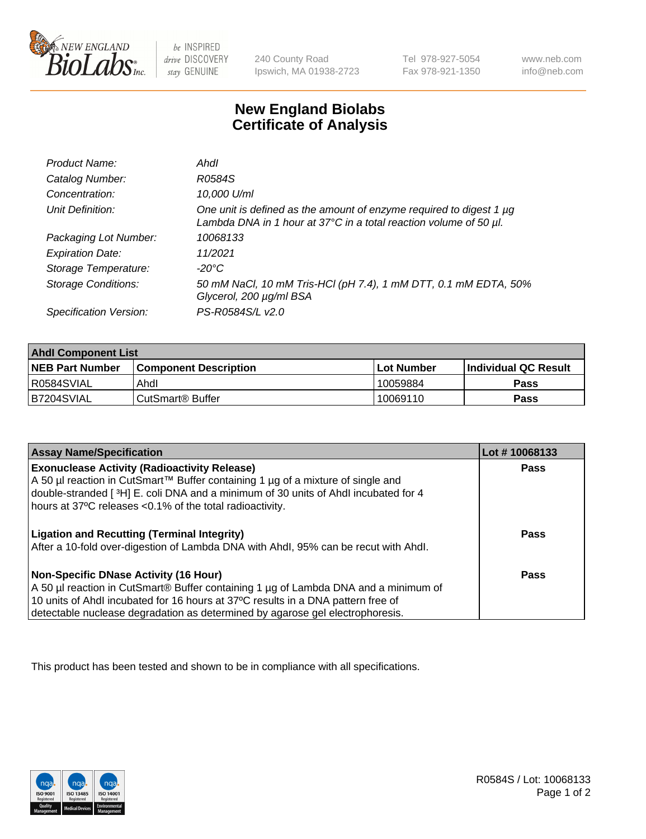

be INSPIRED drive DISCOVERY stay GENUINE

240 County Road Ipswich, MA 01938-2723 Tel 978-927-5054 Fax 978-921-1350

www.neb.com info@neb.com

## **New England Biolabs Certificate of Analysis**

| Product Name:              | Ahdl                                                                                                                                                    |
|----------------------------|---------------------------------------------------------------------------------------------------------------------------------------------------------|
| Catalog Number:            | R0584S                                                                                                                                                  |
| Concentration:             | 10,000 U/ml                                                                                                                                             |
| Unit Definition:           | One unit is defined as the amount of enzyme required to digest 1 µg<br>Lambda DNA in 1 hour at $37^{\circ}$ C in a total reaction volume of 50 $\mu$ l. |
| Packaging Lot Number:      | 10068133                                                                                                                                                |
| <b>Expiration Date:</b>    | 11/2021                                                                                                                                                 |
| Storage Temperature:       | -20°C                                                                                                                                                   |
| <b>Storage Conditions:</b> | 50 mM NaCl, 10 mM Tris-HCl (pH 7.4), 1 mM DTT, 0.1 mM EDTA, 50%<br>Glycerol, 200 µg/ml BSA                                                              |
| Specification Version:     | PS-R0584S/L v2.0                                                                                                                                        |

| <b>Ahdl Component List</b> |                              |              |                             |  |
|----------------------------|------------------------------|--------------|-----------------------------|--|
| <b>NEB Part Number</b>     | <b>Component Description</b> | l Lot Number | <b>Individual QC Result</b> |  |
| R0584SVIAL                 | Ahdl                         | 10059884     | Pass                        |  |
| B7204SVIAL                 | l CutSmart® Buffer           | 10069110     | Pass                        |  |

| <b>Assay Name/Specification</b>                                                                                                                                       | Lot #10068133 |
|-----------------------------------------------------------------------------------------------------------------------------------------------------------------------|---------------|
| <b>Exonuclease Activity (Radioactivity Release)</b>                                                                                                                   | Pass          |
| A 50 µl reaction in CutSmart™ Buffer containing 1 µg of a mixture of single and<br>double-stranded [3H] E. coli DNA and a minimum of 30 units of Ahdl incubated for 4 |               |
| hours at 37°C releases <0.1% of the total radioactivity.                                                                                                              |               |
| <b>Ligation and Recutting (Terminal Integrity)</b>                                                                                                                    | <b>Pass</b>   |
| After a 10-fold over-digestion of Lambda DNA with Ahdl, 95% can be recut with Ahdl.                                                                                   |               |
| Non-Specific DNase Activity (16 Hour)                                                                                                                                 | <b>Pass</b>   |
| A 50 µl reaction in CutSmart® Buffer containing 1 µg of Lambda DNA and a minimum of                                                                                   |               |
| 10 units of Ahdl incubated for 16 hours at 37°C results in a DNA pattern free of<br>detectable nuclease degradation as determined by agarose gel electrophoresis.     |               |

This product has been tested and shown to be in compliance with all specifications.